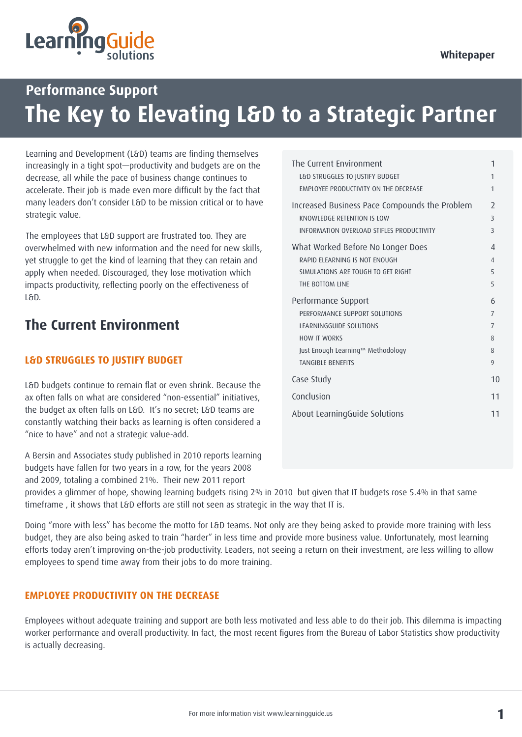

# **Performance Support The Key to Elevating L&D to a Strategic Partner**

Learning and Development (L&D) teams are finding themselves increasingly in a tight spot—productivity and budgets are on the decrease, all while the pace of business change continues to accelerate. Their job is made even more difficult by the fact that many leaders don't consider L&D to be mission critical or to have strategic value.

The employees that L&D support are frustrated too. They are overwhelmed with new information and the need for new skills, yet struggle to get the kind of learning that they can retain and apply when needed. Discouraged, they lose motivation which impacts productivity, reflecting poorly on the effectiveness of L&D.

## **The Current Environment**

### **L&D STRUGGLES TO JUSTIFY BUDGET**

L&D budgets continue to remain flat or even shrink. Because the ax often falls on what are considered "non-essential" initiatives, the budget ax often falls on L&D. It's no secret; L&D teams are constantly watching their backs as learning is often considered a "nice to have" and not a strategic value-add.

A Bersin and Associates study published in 2010 reports learning budgets have fallen for two years in a row, for the years 2008 and 2009, totaling a combined 21%. Their new 2011 report

| The Current Environment<br>L&D STRUGGLES TO JUSTIFY BUDGET                  | 1<br>1                        |
|-----------------------------------------------------------------------------|-------------------------------|
| <b>EMPLOYEE PRODUCTIVITY ON THE DECREASE</b>                                | 1                             |
| Increased Business Pace Compounds the Problem<br>KNOWLEDGE RETENTION IS LOW | $\overline{\phantom{0}}$<br>3 |
| INFORMATION OVERLOAD STIFLES PRODUCTIVITY                                   | 3                             |
| What Worked Before No Longer Does                                           | $\overline{4}$                |
| RAPID FLFARNING IS NOT FNOUGH                                               | $\overline{4}$                |
| SIMULATIONS ARE TOUGH TO GET RIGHT                                          | 5                             |
| THE BOTTOM LINE                                                             | 5                             |
| Performance Support                                                         | 6                             |
| PERFORMANCE SUPPORT SOLUTIONS                                               | $\overline{7}$                |
| LEARNINGGUIDE SOLUTIONS                                                     | $\overline{7}$                |
| <b>HOW IT WORKS</b>                                                         | 8                             |
| Just Enough Learning™ Methodology                                           | 8                             |
| <b>TANGIBLE BENEFITS</b>                                                    | 9                             |
| Case Study                                                                  | 10                            |
| Conclusion                                                                  | 11                            |
| About LearningGuide Solutions                                               | 11                            |

provides a glimmer of hope, showing learning budgets rising 2% in 2010 but given that IT budgets rose 5.4% in that same timeframe , it shows that L&D efforts are still not seen as strategic in the way that IT is.

Doing "more with less" has become the motto for L&D teams. Not only are they being asked to provide more training with less budget, they are also being asked to train "harder" in less time and provide more business value. Unfortunately, most learning efforts today aren't improving on-the-job productivity. Leaders, not seeing a return on their investment, are less willing to allow employees to spend time away from their jobs to do more training.

### **EMPLOYEE PRODUCTIVITY ON THE DECREASE**

Employees without adequate training and support are both less motivated and less able to do their job. This dilemma is impacting worker performance and overall productivity. In fact, the most recent figures from the Bureau of Labor Statistics show productivity is actually decreasing.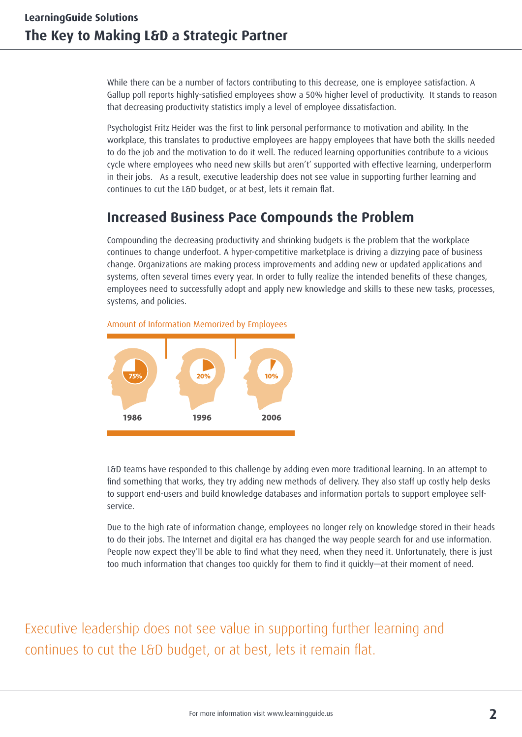While there can be a number of factors contributing to this decrease, one is employee satisfaction. A Gallup poll reports highly-satisfied employees show a 50% higher level of productivity. It stands to reason that decreasing productivity statistics imply a level of employee dissatisfaction.

Psychologist Fritz Heider was the first to link personal performance to motivation and ability. In the workplace, this translates to productive employees are happy employees that have both the skills needed to do the job and the motivation to do it well. The reduced learning opportunities contribute to a vicious cycle where employees who need new skills but aren't' supported with effective learning, underperform in their jobs. As a result, executive leadership does not see value in supporting further learning and continues to cut the L&D budget, or at best, lets it remain flat.

## **Increased Business Pace Compounds the Problem**

Compounding the decreasing productivity and shrinking budgets is the problem that the workplace continues to change underfoot. A hyper-competitive marketplace is driving a dizzying pace of business change. Organizations are making process improvements and adding new or updated applications and systems, often several times every year. In order to fully realize the intended benefits of these changes, employees need to successfully adopt and apply new knowledge and skills to these new tasks, processes, systems, and policies.





L&D teams have responded to this challenge by adding even more traditional learning. In an attempt to find something that works, they try adding new methods of delivery. They also staff up costly help desks to support end-users and build knowledge databases and information portals to support employee selfservice.

Due to the high rate of information change, employees no longer rely on knowledge stored in their heads to do their jobs. The Internet and digital era has changed the way people search for and use information. People now expect they'll be able to find what they need, when they need it. Unfortunately, there is just too much information that changes too quickly for them to find it quickly—at their moment of need.

Executive leadership does not see value in supporting further learning and continues to cut the L&D budget, or at best, lets it remain flat.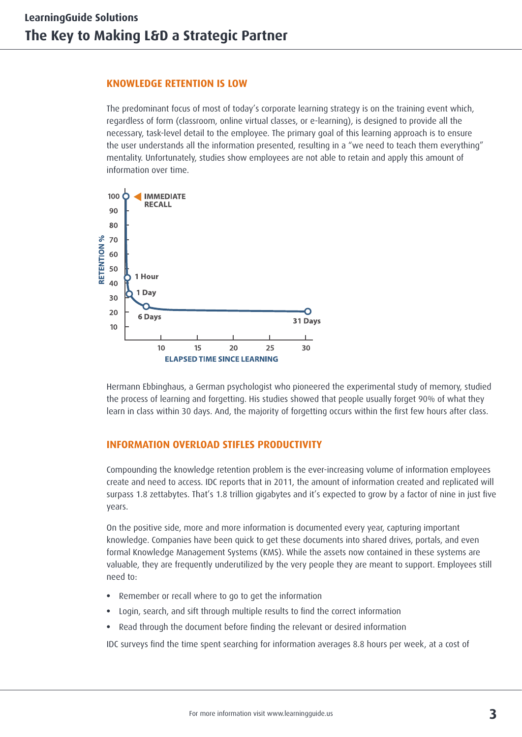#### **KNOWLEDGE RETENTION IS LOW**

The predominant focus of most of today's corporate learning strategy is on the training event which, regardless of form (classroom, online virtual classes, or e-learning), is designed to provide all the necessary, task-level detail to the employee. The primary goal of this learning approach is to ensure the user understands all the information presented, resulting in a "we need to teach them everything" mentality. Unfortunately, studies show employees are not able to retain and apply this amount of information over time.



Hermann Ebbinghaus, a German psychologist who pioneered the experimental study of memory, studied the process of learning and forgetting. His studies showed that people usually forget 90% of what they learn in class within 30 days. And, the majority of forgetting occurs within the first few hours after class.

### **INFORMATION OVERLOAD STIFLES PRODUCTIVITY**

Compounding the knowledge retention problem is the ever-increasing volume of information employees create and need to access. IDC reports that in 2011, the amount of information created and replicated will surpass 1.8 zettabytes. That's 1.8 trillion gigabytes and it's expected to grow by a factor of nine in just five years.

On the positive side, more and more information is documented every year, capturing important knowledge. Companies have been quick to get these documents into shared drives, portals, and even formal Knowledge Management Systems (KMS). While the assets now contained in these systems are valuable, they are frequently underutilized by the very people they are meant to support. Employees still need to:

- **•** Remember or recall where to go to get the information
- **•** Login, search, and sift through multiple results to find the correct information
- **•** Read through the document before finding the relevant or desired information

IDC surveys find the time spent searching for information averages 8.8 hours per week, at a cost of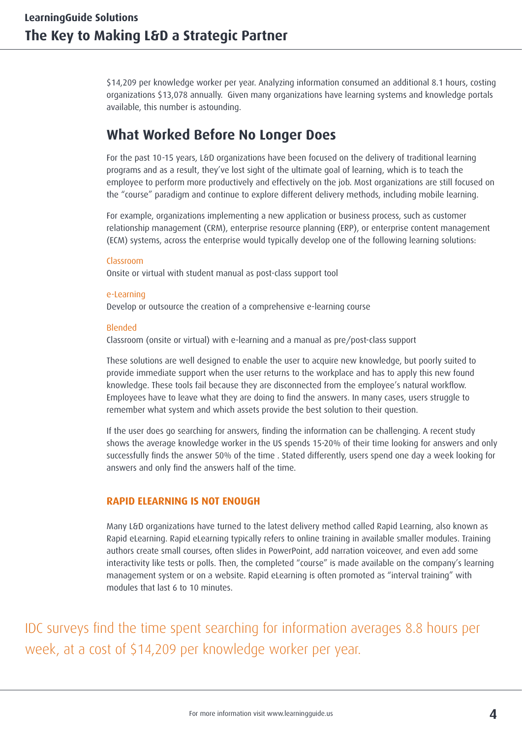\$14,209 per knowledge worker per year. Analyzing information consumed an additional 8.1 hours, costing organizations \$13,078 annually. Given many organizations have learning systems and knowledge portals available, this number is astounding.

## **What Worked Before No Longer Does**

For the past 10-15 years, L&D organizations have been focused on the delivery of traditional learning programs and as a result, they've lost sight of the ultimate goal of learning, which is to teach the employee to perform more productively and effectively on the job. Most organizations are still focused on the "course" paradigm and continue to explore different delivery methods, including mobile learning.

For example, organizations implementing a new application or business process, such as customer relationship management (CRM), enterprise resource planning (ERP), or enterprise content management (ECM) systems, across the enterprise would typically develop one of the following learning solutions:

Classroom Onsite or virtual with student manual as post-class support tool

e-Learning Develop or outsource the creation of a comprehensive e-learning course

#### Blended

Classroom (onsite or virtual) with e-learning and a manual as pre/post-class support

These solutions are well designed to enable the user to acquire new knowledge, but poorly suited to provide immediate support when the user returns to the workplace and has to apply this new found knowledge. These tools fail because they are disconnected from the employee's natural workflow. Employees have to leave what they are doing to find the answers. In many cases, users struggle to remember what system and which assets provide the best solution to their question.

If the user does go searching for answers, finding the information can be challenging. A recent study shows the average knowledge worker in the US spends 15-20% of their time looking for answers and only successfully finds the answer 50% of the time . Stated differently, users spend one day a week looking for answers and only find the answers half of the time.

### **RAPID ELEARNING IS NOT ENOUGH**

Many L&D organizations have turned to the latest delivery method called Rapid Learning, also known as Rapid eLearning. Rapid eLearning typically refers to online training in available smaller modules. Training authors create small courses, often slides in PowerPoint, add narration voiceover, and even add some interactivity like tests or polls. Then, the completed "course" is made available on the company's learning management system or on a website. Rapid eLearning is often promoted as "interval training" with modules that last 6 to 10 minutes.

IDC surveys find the time spent searching for information averages 8.8 hours per week, at a cost of \$14,209 per knowledge worker per year.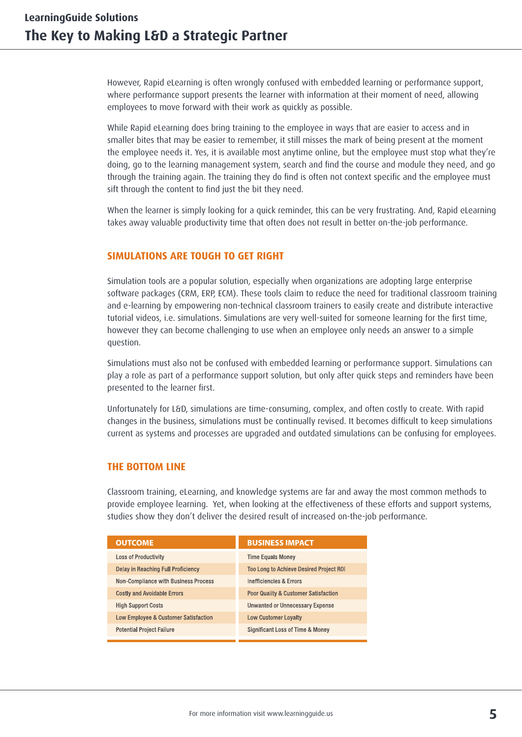However, Rapid eLearning is often wrongly confused with embedded learning or performance support, where performance support presents the learner with information at their moment of need, allowing employees to move forward with their work as quickly as possible.

While Rapid eLearning does bring training to the employee in ways that are easier to access and in smaller bites that may be easier to remember, it still misses the mark of being present at the moment the employee needs it. Yes, it is available most anytime online, but the employee must stop what they're doing, go to the learning management system, search and find the course and module they need, and go through the training again. The training they do find is often not context specific and the employee must sift through the content to find just the bit they need.

When the learner is simply looking for a quick reminder, this can be very frustrating. And, Rapid eLearning takes away valuable productivity time that often does not result in better on-the-job performance.

#### **SIMULATIONS ARE TOUGH TO GET RIGHT**

Simulation tools are a popular solution, especially when organizations are adopting large enterprise software packages (CRM, ERP, ECM). These tools claim to reduce the need for traditional classroom training and e-learning by empowering non-technical classroom trainers to easily create and distribute interactive tutorial videos, i.e. simulations. Simulations are very well-suited for someone learning for the first time, however they can become challenging to use when an employee only needs an answer to a simple question.

Simulations must also not be confused with embedded learning or performance support. Simulations can play a role as part of a performance support solution, but only after quick steps and reminders have been presented to the learner first.

Unfortunately for L&D, simulations are time-consuming, complex, and often costly to create. With rapid changes in the business, simulations must be continually revised. It becomes difficult to keep simulations current as systems and processes are upgraded and outdated simulations can be confusing for employees.

#### **THE BOTTOM LINE**

Classroom training, eLearning, and knowledge systems are far and away the most common methods to provide employee learning. Yet, when looking at the effectiveness of these efforts and support systems, studies show they don't deliver the desired result of increased on-the-job performance.

| <b>OUTCOME</b>                              | <b>BUSINESS IMPACT</b>                          |
|---------------------------------------------|-------------------------------------------------|
| <b>Loss of Productivity</b>                 | <b>Time Equals Money</b>                        |
| <b>Delay in Reaching Full Proficiency</b>   | <b>Too Long to Achieve Desired Project ROI</b>  |
| <b>Non-Compliance with Business Process</b> | <b>Inefficiencies &amp; Errors</b>              |
| <b>Costly and Avoidable Errors</b>          | <b>Poor Quality &amp; Customer Satisfaction</b> |
| <b>High Support Costs</b>                   | <b>Unwanted or Unnecessary Expense</b>          |
| Low Employee & Customer Satisfaction        | <b>Low Customer Lovalty</b>                     |
| <b>Potential Project Failure</b>            | Significant Loss of Time & Money                |
|                                             |                                                 |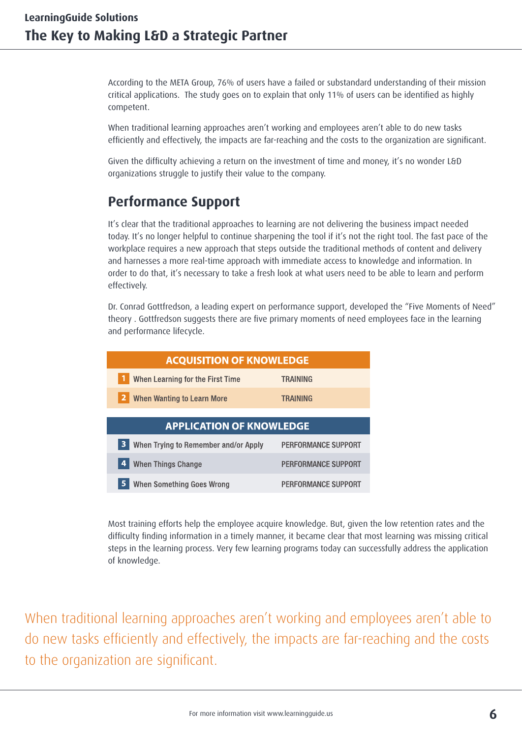According to the META Group, 76% of users have a failed or substandard understanding of their mission critical applications. The study goes on to explain that only 11% of users can be identified as highly competent.

When traditional learning approaches aren't working and employees aren't able to do new tasks efficiently and effectively, the impacts are far-reaching and the costs to the organization are significant.

Given the difficulty achieving a return on the investment of time and money, it's no wonder L&D organizations struggle to justify their value to the company.

## **Performance Support**

It's clear that the traditional approaches to learning are not delivering the business impact needed today. It's no longer helpful to continue sharpening the tool if it's not the right tool. The fast pace of the workplace requires a new approach that steps outside the traditional methods of content and delivery and harnesses a more real-time approach with immediate access to knowledge and information. In order to do that, it's necessary to take a fresh look at what users need to be able to learn and perform effectively.

Dr. Conrad Gottfredson, a leading expert on performance support, developed the "Five Moments of Need" theory . Gottfredson suggests there are five primary moments of need employees face in the learning and performance lifecycle.

| <b>ACQUISITION OF KNOWLEDGE</b>           |                            |  |  |
|-------------------------------------------|----------------------------|--|--|
| When Learning for the First Time          | TRAINING                   |  |  |
| 2<br><b>When Wanting to Learn More</b>    | TRAINING                   |  |  |
|                                           |                            |  |  |
| <b>APPLICATION OF KNOWLEDGE</b>           |                            |  |  |
|                                           |                            |  |  |
| 3<br>When Trying to Remember and/or Apply | PERFORMANCE SUPPORT        |  |  |
| <b>When Things Change</b><br>4            | <b>PERFORMANCE SUPPORT</b> |  |  |

Most training efforts help the employee acquire knowledge. But, given the low retention rates and the difficulty finding information in a timely manner, it became clear that most learning was missing critical steps in the learning process. Very few learning programs today can successfully address the application of knowledge.

When traditional learning approaches aren't working and employees aren't able to do new tasks efficiently and effectively, the impacts are far-reaching and the costs to the organization are significant.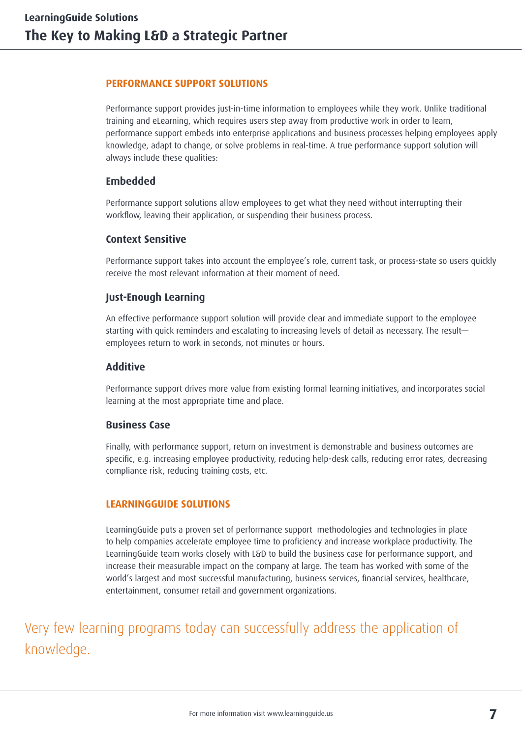### **PERFORMANCE SUPPORT SOLUTIONS**

Performance support provides just-in-time information to employees while they work. Unlike traditional training and eLearning, which requires users step away from productive work in order to learn, performance support embeds into enterprise applications and business processes helping employees apply knowledge, adapt to change, or solve problems in real-time. A true performance support solution will always include these qualities:

### **Embedded**

Performance support solutions allow employees to get what they need without interrupting their workflow, leaving their application, or suspending their business process.

### **Context Sensitive**

Performance support takes into account the employee's role, current task, or process-state so users quickly receive the most relevant information at their moment of need.

### **Just-Enough Learning**

An effective performance support solution will provide clear and immediate support to the employee starting with quick reminders and escalating to increasing levels of detail as necessary. The result employees return to work in seconds, not minutes or hours.

#### **Additive**

Performance support drives more value from existing formal learning initiatives, and incorporates social learning at the most appropriate time and place.

### **Business Case**

Finally, with performance support, return on investment is demonstrable and business outcomes are specific, e.g. increasing employee productivity, reducing help-desk calls, reducing error rates, decreasing compliance risk, reducing training costs, etc.

### **LEARNINGGUIDE SOLUTIONS**

LearningGuide puts a proven set of performance support methodologies and technologies in place to help companies accelerate employee time to proficiency and increase workplace productivity. The LearningGuide team works closely with L&D to build the business case for performance support, and increase their measurable impact on the company at large. The team has worked with some of the world's largest and most successful manufacturing, business services, financial services, healthcare, entertainment, consumer retail and government organizations.

Very few learning programs today can successfully address the application of knowledge.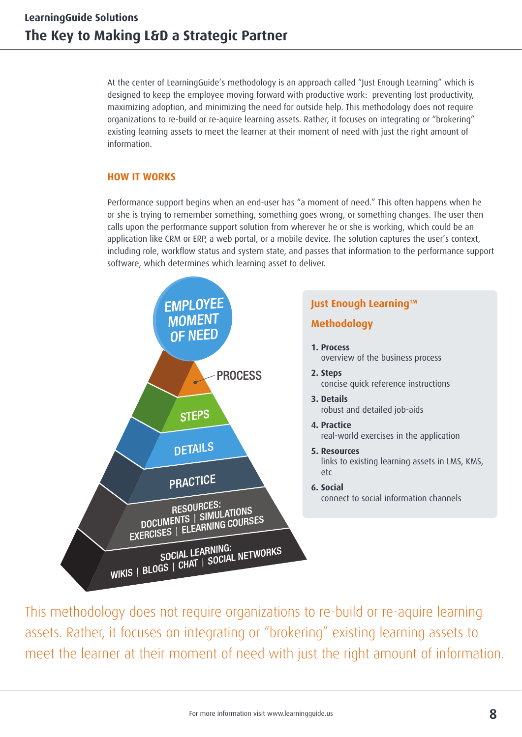At the center of LearningGuide's methodology is an approach called "Just Enough Learning" which is designed to keep the employee moving forward with productive work: preventing lost productivity, maximizing adoption, and minimizing the need for outside help. This methodology does not require organizations to re-build or re-aquire learning assets. Rather, it focuses on integrating or "brokering" existing learning assets to meet the learner at their moment of need with just the right amount of information.

### **HOW IT WORKS**

Performance support begins when an end-user has "a moment of need." This often happens when he or she is trying to remember something, something goes wrong, or something changes. The user then calls upon the performance support solution from wherever he or she is working, which could be an application like CRM or ERP, a web portal, or a mobile device. The solution captures the user's context, including role, workflow status and system state, and passes that information to the performance support software, which determines which learning asset to deliver.



This methodology does not require organizations to re-build or re-aquire learning assets. Rather, it focuses on integrating or "brokering" existing learning assets to meet the learner at their moment of need with just the right amount of information.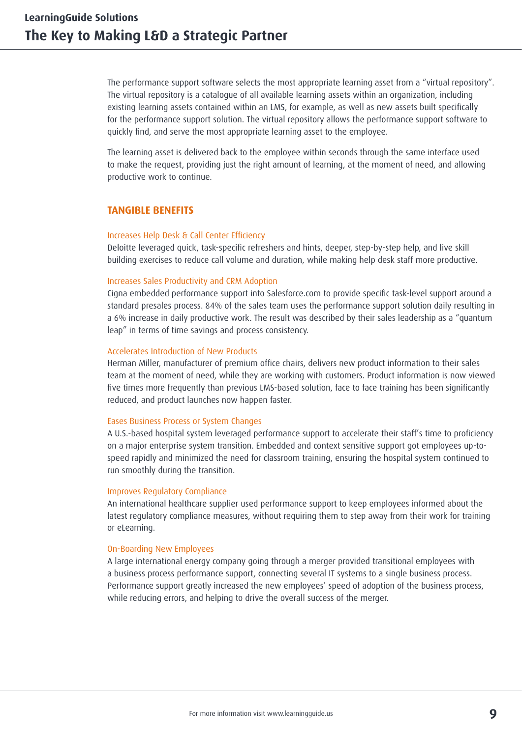The performance support software selects the most appropriate learning asset from a "virtual repository". The virtual repository is a catalogue of all available learning assets within an organization, including existing learning assets contained within an LMS, for example, as well as new assets built specifically for the performance support solution. The virtual repository allows the performance support software to quickly find, and serve the most appropriate learning asset to the employee.

The learning asset is delivered back to the employee within seconds through the same interface used to make the request, providing just the right amount of learning, at the moment of need, and allowing productive work to continue.

#### **TANGIBLE BENEFITS**

#### Increases Help Desk & Call Center Efficiency

Deloitte leveraged quick, task-specific refreshers and hints, deeper, step-by-step help, and live skill building exercises to reduce call volume and duration, while making help desk staff more productive.

#### Increases Sales Productivity and CRM Adoption

Cigna embedded performance support into Salesforce.com to provide specific task-level support around a standard presales process. 84% of the sales team uses the performance support solution daily resulting in a 6% increase in daily productive work. The result was described by their sales leadership as a "quantum leap" in terms of time savings and process consistency.

#### Accelerates Introduction of New Products

Herman Miller, manufacturer of premium office chairs, delivers new product information to their sales team at the moment of need, while they are working with customers. Product information is now viewed five times more frequently than previous LMS-based solution, face to face training has been significantly reduced, and product launches now happen faster.

#### Eases Business Process or System Changes

A U.S.-based hospital system leveraged performance support to accelerate their staff's time to proficiency on a major enterprise system transition. Embedded and context sensitive support got employees up-tospeed rapidly and minimized the need for classroom training, ensuring the hospital system continued to run smoothly during the transition.

#### Improves Regulatory Compliance

An international healthcare supplier used performance support to keep employees informed about the latest regulatory compliance measures, without requiring them to step away from their work for training or eLearning.

#### On-Boarding New Employees

A large international energy company going through a merger provided transitional employees with a business process performance support, connecting several IT systems to a single business process. Performance support greatly increased the new employees' speed of adoption of the business process, while reducing errors, and helping to drive the overall success of the merger.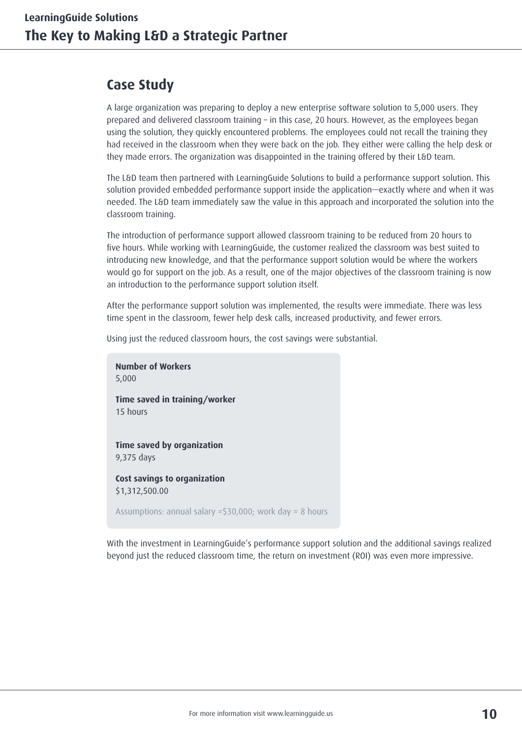## **Case Study**

A large organization was preparing to deploy a new enterprise software solution to 5,000 users. They prepared and delivered classroom training – in this case, 20 hours. However, as the employees began using the solution, they quickly encountered problems. The employees could not recall the training they had received in the classroom when they were back on the job. They either were calling the help desk or they made errors. The organization was disappointed in the training offered by their L&D team.

The L&D team then partnered with LearningGuide Solutions to build a performance support solution. This solution provided embedded performance support inside the application—exactly where and when it was needed. The L&D team immediately saw the value in this approach and incorporated the solution into the classroom training.

The introduction of performance support allowed classroom training to be reduced from 20 hours to five hours. While working with LearningGuide, the customer realized the classroom was best suited to introducing new knowledge, and that the performance support solution would be where the workers would go for support on the job. As a result, one of the major objectives of the classroom training is now an introduction to the performance support solution itself.

After the performance support solution was implemented, the results were immediate. There was less time spent in the classroom, fewer help desk calls, increased productivity, and fewer errors.

Using just the reduced classroom hours, the cost savings were substantial.

**Number of Workers** 5,000 **Time saved in training/worker** 15 hours **Time saved by organization** 9,375 days **Cost savings to organization** \$1,312,500.00 Assumptions: annual salary =\$30,000; work day = 8 hours

With the investment in LearningGuide's performance support solution and the additional savings realized beyond just the reduced classroom time, the return on investment (ROI) was even more impressive.